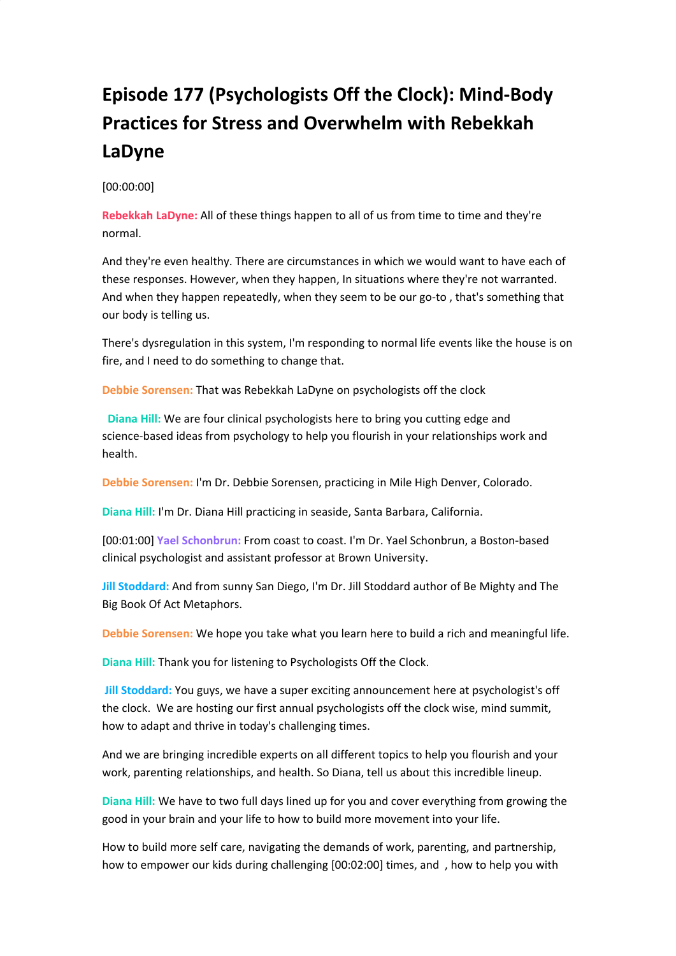# **Episode 177 (Psychologists Off the Clock): Mind-Body Practices for Stress and Overwhelm with Rebekkah LaDyne**

## [00:00:00]

**Rebekkah LaDyne:** All of these things happen to all of us from time to time and they're normal.

And they're even healthy. There are circumstances in which we would want to have each of these responses. However, when they happen, In situations where they're not warranted. And when they happen repeatedly, when they seem to be our go-to , that's something that our body is telling us.

There's dysregulation in this system, I'm responding to normal life events like the house is on fire, and I need to do something to change that.

**Debbie Sorensen:** That was Rebekkah LaDyne on psychologists off the clock

**Diana Hill:** We are four clinical psychologists here to bring you cutting edge and science-based ideas from psychology to help you flourish in your relationships work and health.

**Debbie Sorensen:** I'm Dr. Debbie Sorensen, practicing in Mile High Denver, Colorado.

**Diana Hill:** I'm Dr. Diana Hill practicing in seaside, Santa Barbara, California.

[00:01:00] **Yael Schonbrun:** From coast to coast. I'm Dr. Yael Schonbrun, a Boston-based clinical psychologist and assistant professor at Brown University.

**Jill Stoddard:** And from sunny San Diego, I'm Dr. Jill Stoddard author of Be Mighty and The Big Book Of Act Metaphors.

**Debbie Sorensen:** We hope you take what you learn here to build a rich and meaningful life.

**Diana Hill:** Thank you for listening to Psychologists Off the Clock.

**Jill Stoddard:** You guys, we have a super exciting announcement here at psychologist's off the clock. We are hosting our first annual psychologists off the clock wise, mind summit, how to adapt and thrive in today's challenging times.

And we are bringing incredible experts on all different topics to help you flourish and your work, parenting relationships, and health. So Diana, tell us about this incredible lineup.

**Diana Hill:** We have to two full days lined up for you and cover everything from growing the good in your brain and your life to how to build more movement into your life.

How to build more self care, navigating the demands of work, parenting, and partnership, how to empower our kids during challenging [00:02:00] times, and , how to help you with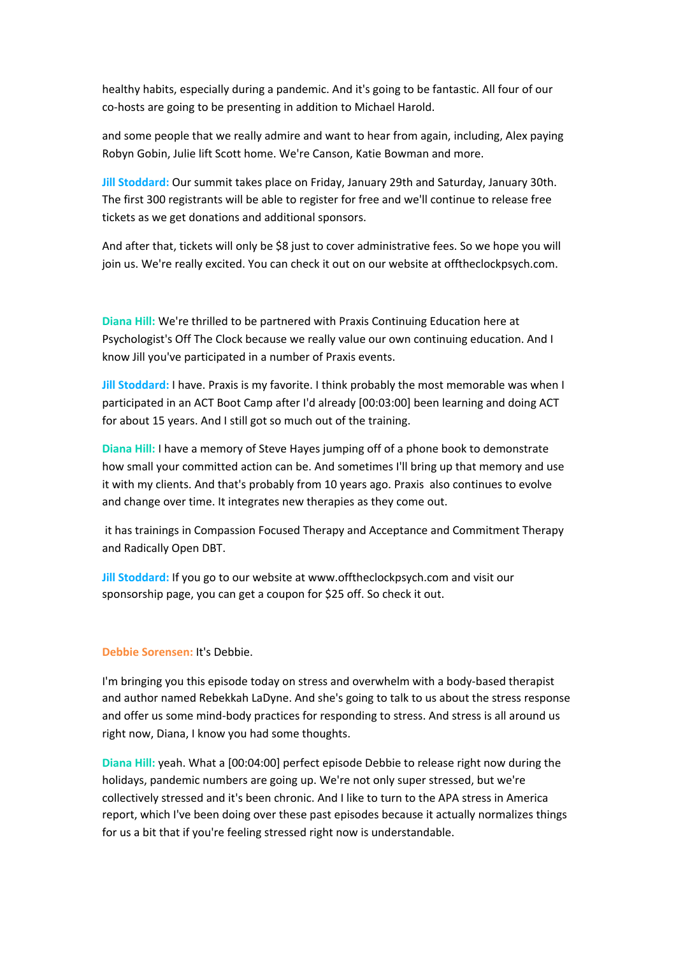healthy habits, especially during a pandemic. And it's going to be fantastic. All four of our co-hosts are going to be presenting in addition to Michael Harold.

and some people that we really admire and want to hear from again, including, Alex paying Robyn Gobin, Julie lift Scott home. We're Canson, Katie Bowman and more.

**Jill Stoddard:** Our summit takes place on Friday, January 29th and Saturday, January 30th. The first 300 registrants will be able to register for free and we'll continue to release free tickets as we get donations and additional sponsors.

And after that, tickets will only be \$8 just to cover administrative fees. So we hope you will join us. We're really excited. You can check it out on our website at offtheclockpsych.com.

**Diana Hill:** We're thrilled to be partnered with Praxis Continuing Education here at Psychologist's Off The Clock because we really value our own continuing education. And I know Jill you've participated in a number of Praxis events.

**Jill Stoddard:** I have. Praxis is my favorite. I think probably the most memorable was when I participated in an ACT Boot Camp after I'd already [00:03:00] been learning and doing ACT for about 15 years. And I still got so much out of the training.

**Diana Hill:** I have a memory of Steve Hayes jumping off of a phone book to demonstrate how small your committed action can be. And sometimes I'll bring up that memory and use it with my clients. And that's probably from 10 years ago. Praxis also continues to evolve and change over time. It integrates new therapies as they come out.

it has trainings in Compassion Focused Therapy and Acceptance and Commitment Therapy and Radically Open DBT.

**Jill Stoddard:** If you go to our website at www.offtheclockpsych.com and visit our sponsorship page, you can get a coupon for \$25 off. So check it out.

#### **Debbie Sorensen:** It's Debbie.

I'm bringing you this episode today on stress and overwhelm with a body-based therapist and author named Rebekkah LaDyne. And she's going to talk to us about the stress response and offer us some mind-body practices for responding to stress. And stress is all around us right now, Diana, I know you had some thoughts.

**Diana Hill:** yeah. What a [00:04:00] perfect episode Debbie to release right now during the holidays, pandemic numbers are going up. We're not only super stressed, but we're collectively stressed and it's been chronic. And I like to turn to the APA stress in America report, which I've been doing over these past episodes because it actually normalizes things for us a bit that if you're feeling stressed right now is understandable.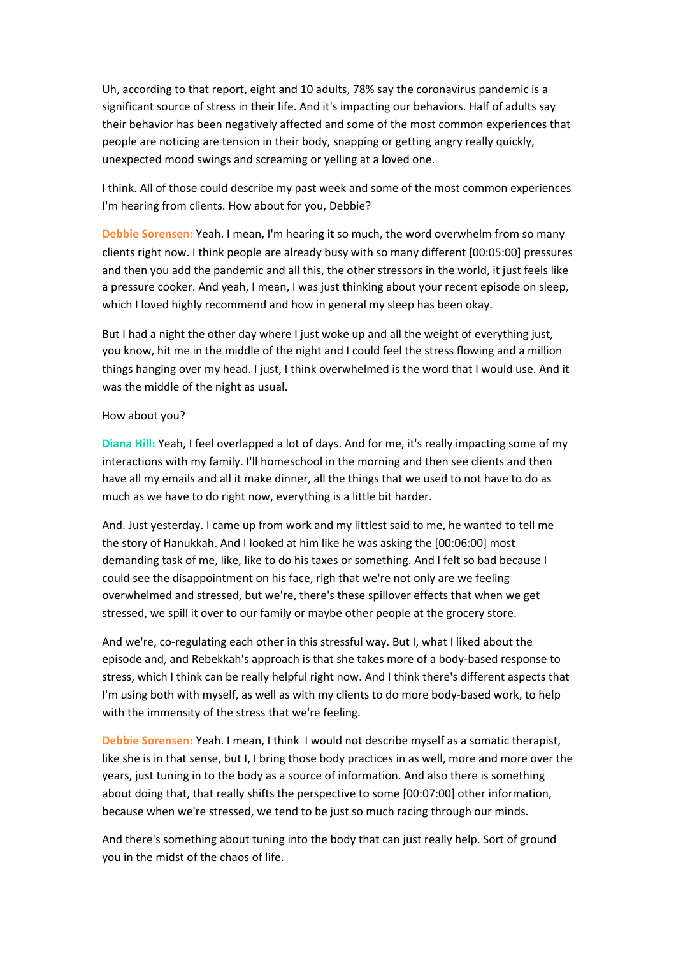Uh, according to that report, eight and 10 adults, 78% say the coronavirus pandemic is a significant source of stress in their life. And it's impacting our behaviors. Half of adults say their behavior has been negatively affected and some of the most common experiences that people are noticing are tension in their body, snapping or getting angry really quickly, unexpected mood swings and screaming or yelling at a loved one.

I think. All of those could describe my past week and some of the most common experiences I'm hearing from clients. How about for you, Debbie?

**Debbie Sorensen:** Yeah. I mean, I'm hearing it so much, the word overwhelm from so many clients right now. I think people are already busy with so many different [00:05:00] pressures and then you add the pandemic and all this, the other stressors in the world, it just feels like a pressure cooker. And yeah, I mean, I was just thinking about your recent episode on sleep, which I loved highly recommend and how in general my sleep has been okay.

But I had a night the other day where I just woke up and all the weight of everything just, you know, hit me in the middle of the night and I could feel the stress flowing and a million things hanging over my head. I just, I think overwhelmed is the word that I would use. And it was the middle of the night as usual.

## How about you?

**Diana Hill:** Yeah, I feel overlapped a lot of days. And for me, it's really impacting some of my interactions with my family. I'll homeschool in the morning and then see clients and then have all my emails and all it make dinner, all the things that we used to not have to do as much as we have to do right now, everything is a little bit harder.

And. Just yesterday. I came up from work and my littlest said to me, he wanted to tell me the story of Hanukkah. And I looked at him like he was asking the [00:06:00] most demanding task of me, like, like to do his taxes or something. And I felt so bad because I could see the disappointment on his face, righ that we're not only are we feeling overwhelmed and stressed, but we're, there's these spillover effects that when we get stressed, we spill it over to our family or maybe other people at the grocery store.

And we're, co-regulating each other in this stressful way. But I, what I liked about the episode and, and Rebekkah's approach is that she takes more of a body-based response to stress, which I think can be really helpful right now. And I think there's different aspects that I'm using both with myself, as well as with my clients to do more body-based work, to help with the immensity of the stress that we're feeling.

**Debbie Sorensen:** Yeah. I mean, I think I would not describe myself as a somatic therapist, like she is in that sense, but I, I bring those body practices in as well, more and more over the years, just tuning in to the body as a source of information. And also there is something about doing that, that really shifts the perspective to some [00:07:00] other information, because when we're stressed, we tend to be just so much racing through our minds.

And there's something about tuning into the body that can just really help. Sort of ground you in the midst of the chaos of life.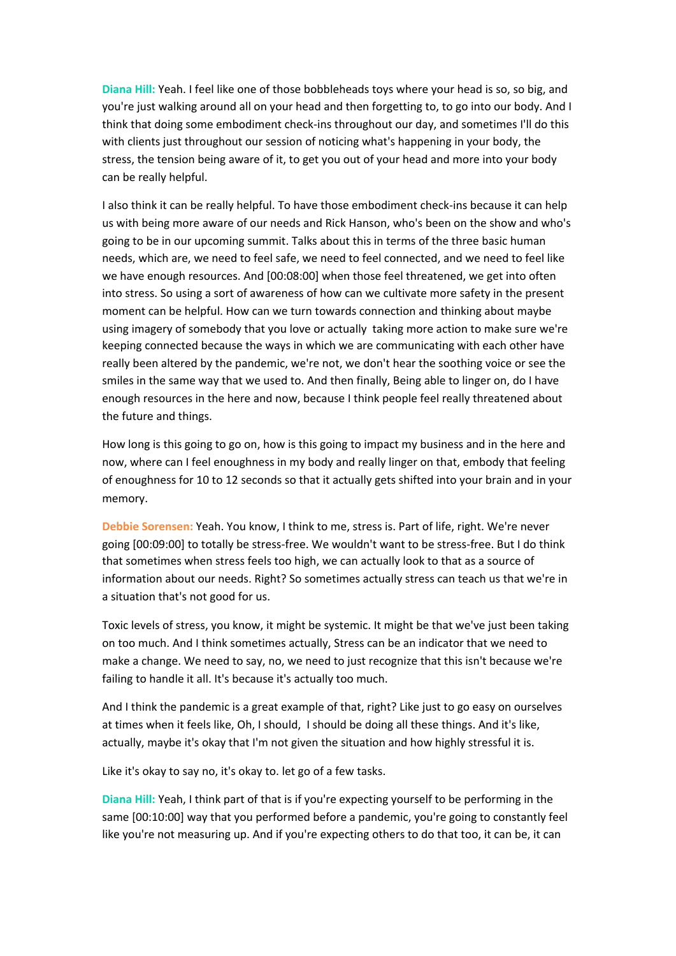**Diana Hill:** Yeah. I feel like one of those bobbleheads toys where your head is so, so big, and you're just walking around all on your head and then forgetting to, to go into our body. And I think that doing some embodiment check-ins throughout our day, and sometimes I'll do this with clients just throughout our session of noticing what's happening in your body, the stress, the tension being aware of it, to get you out of your head and more into your body can be really helpful.

I also think it can be really helpful. To have those embodiment check-ins because it can help us with being more aware of our needs and Rick Hanson, who's been on the show and who's going to be in our upcoming summit. Talks about this in terms of the three basic human needs, which are, we need to feel safe, we need to feel connected, and we need to feel like we have enough resources. And [00:08:00] when those feel threatened, we get into often into stress. So using a sort of awareness of how can we cultivate more safety in the present moment can be helpful. How can we turn towards connection and thinking about maybe using imagery of somebody that you love or actually taking more action to make sure we're keeping connected because the ways in which we are communicating with each other have really been altered by the pandemic, we're not, we don't hear the soothing voice or see the smiles in the same way that we used to. And then finally, Being able to linger on, do I have enough resources in the here and now, because I think people feel really threatened about the future and things.

How long is this going to go on, how is this going to impact my business and in the here and now, where can I feel enoughness in my body and really linger on that, embody that feeling of enoughness for 10 to 12 seconds so that it actually gets shifted into your brain and in your memory.

**Debbie Sorensen:** Yeah. You know, I think to me, stress is. Part of life, right. We're never going [00:09:00] to totally be stress-free. We wouldn't want to be stress-free. But I do think that sometimes when stress feels too high, we can actually look to that as a source of information about our needs. Right? So sometimes actually stress can teach us that we're in a situation that's not good for us.

Toxic levels of stress, you know, it might be systemic. It might be that we've just been taking on too much. And I think sometimes actually, Stress can be an indicator that we need to make a change. We need to say, no, we need to just recognize that this isn't because we're failing to handle it all. It's because it's actually too much.

And I think the pandemic is a great example of that, right? Like just to go easy on ourselves at times when it feels like, Oh, I should, I should be doing all these things. And it's like, actually, maybe it's okay that I'm not given the situation and how highly stressful it is.

Like it's okay to say no, it's okay to. let go of a few tasks.

**Diana Hill:** Yeah, I think part of that is if you're expecting yourself to be performing in the same [00:10:00] way that you performed before a pandemic, you're going to constantly feel like you're not measuring up. And if you're expecting others to do that too, it can be, it can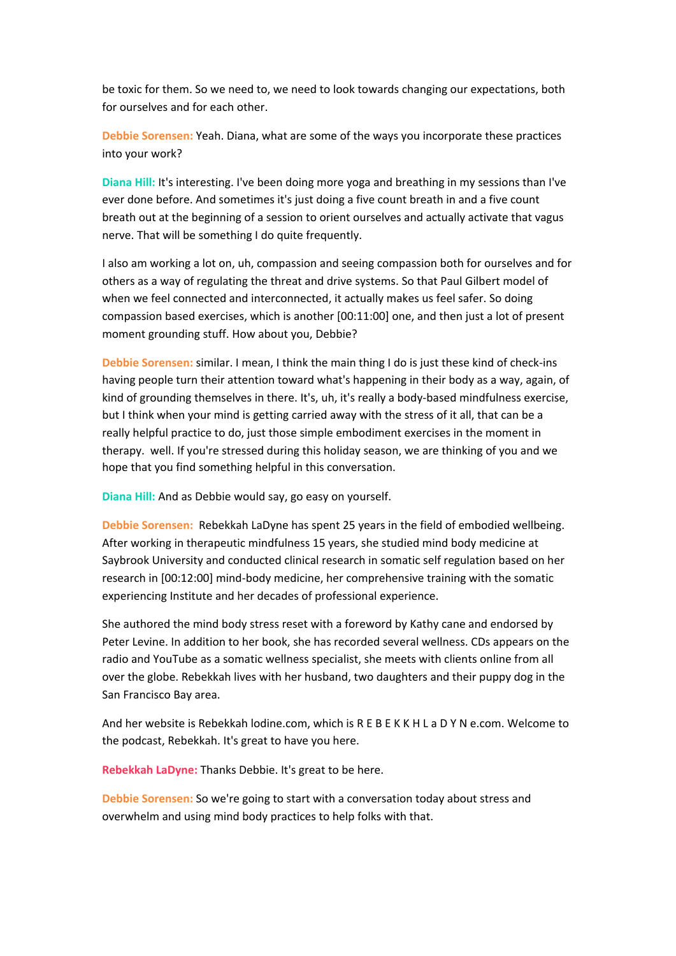be toxic for them. So we need to, we need to look towards changing our expectations, both for ourselves and for each other.

**Debbie Sorensen:** Yeah. Diana, what are some of the ways you incorporate these practices into your work?

**Diana Hill:** It's interesting. I've been doing more yoga and breathing in my sessions than I've ever done before. And sometimes it's just doing a five count breath in and a five count breath out at the beginning of a session to orient ourselves and actually activate that vagus nerve. That will be something I do quite frequently.

I also am working a lot on, uh, compassion and seeing compassion both for ourselves and for others as a way of regulating the threat and drive systems. So that Paul Gilbert model of when we feel connected and interconnected, it actually makes us feel safer. So doing compassion based exercises, which is another [00:11:00] one, and then just a lot of present moment grounding stuff. How about you, Debbie?

**Debbie Sorensen:** similar. I mean, I think the main thing I do is just these kind of check-ins having people turn their attention toward what's happening in their body as a way, again, of kind of grounding themselves in there. It's, uh, it's really a body-based mindfulness exercise, but I think when your mind is getting carried away with the stress of it all, that can be a really helpful practice to do, just those simple embodiment exercises in the moment in therapy. well. If you're stressed during this holiday season, we are thinking of you and we hope that you find something helpful in this conversation.

**Diana Hill:** And as Debbie would say, go easy on yourself.

**Debbie Sorensen:** Rebekkah LaDyne has spent 25 years in the field of embodied wellbeing. After working in therapeutic mindfulness 15 years, she studied mind body medicine at Saybrook University and conducted clinical research in somatic self regulation based on her research in [00:12:00] mind-body medicine, her comprehensive training with the somatic experiencing Institute and her decades of professional experience.

She authored the mind body stress reset with a foreword by Kathy cane and endorsed by Peter Levine. In addition to her book, she has recorded several wellness. CDs appears on the radio and YouTube as a somatic wellness specialist, she meets with clients online from all over the globe. Rebekkah lives with her husband, two daughters and their puppy dog in the San Francisco Bay area.

And her website is Rebekkah lodine.com, which is R E B E K K H L a D Y N e.com. Welcome to the podcast, Rebekkah. It's great to have you here.

**Rebekkah LaDyne:** Thanks Debbie. It's great to be here.

**Debbie Sorensen:** So we're going to start with a conversation today about stress and overwhelm and using mind body practices to help folks with that.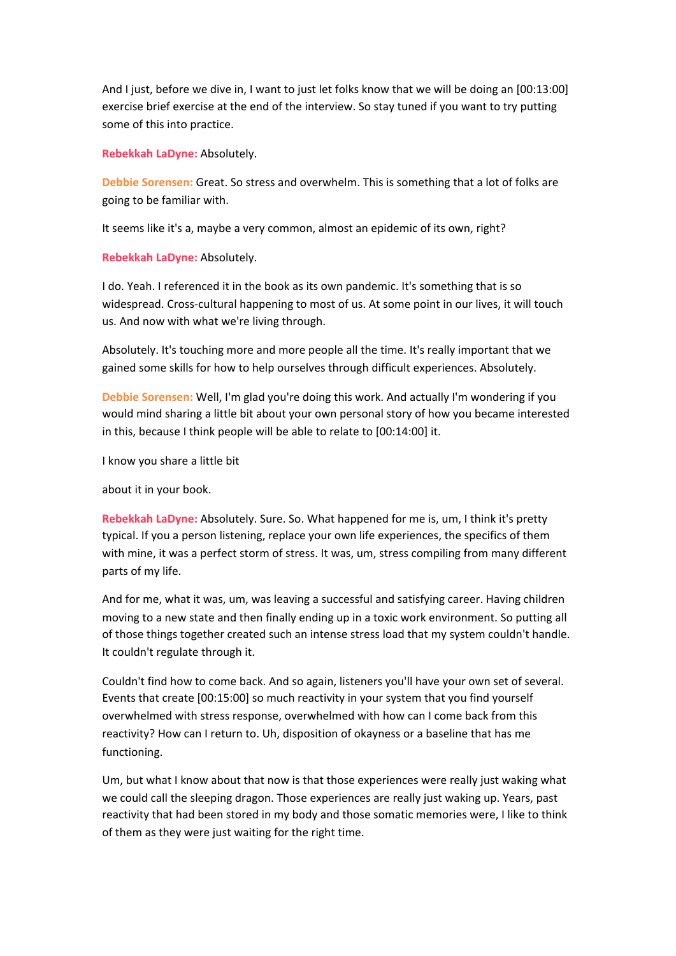And I just, before we dive in, I want to just let folks know that we will be doing an [00:13:00] exercise brief exercise at the end of the interview. So stay tuned if you want to try putting some of this into practice.

**Rebekkah LaDyne:** Absolutely.

**Debbie Sorensen:** Great. So stress and overwhelm. This is something that a lot of folks are going to be familiar with.

It seems like it's a, maybe a very common, almost an epidemic of its own, right?

**Rebekkah LaDyne:** Absolutely.

I do. Yeah. I referenced it in the book as its own pandemic. It's something that is so widespread. Cross-cultural happening to most of us. At some point in our lives, it will touch us. And now with what we're living through.

Absolutely. It's touching more and more people all the time. It's really important that we gained some skills for how to help ourselves through difficult experiences. Absolutely.

**Debbie Sorensen:** Well, I'm glad you're doing this work. And actually I'm wondering if you would mind sharing a little bit about your own personal story of how you became interested in this, because I think people will be able to relate to [00:14:00] it.

I know you share a little bit

about it in your book.

**Rebekkah LaDyne:** Absolutely. Sure. So. What happened for me is, um, I think it's pretty typical. If you a person listening, replace your own life experiences, the specifics of them with mine, it was a perfect storm of stress. It was, um, stress compiling from many different parts of my life.

And for me, what it was, um, was leaving a successful and satisfying career. Having children moving to a new state and then finally ending up in a toxic work environment. So putting all of those things together created such an intense stress load that my system couldn't handle. It couldn't regulate through it.

Couldn't find how to come back. And so again, listeners you'll have your own set of several. Events that create [00:15:00] so much reactivity in your system that you find yourself overwhelmed with stress response, overwhelmed with how can I come back from this reactivity? How can I return to. Uh, disposition of okayness or a baseline that has me functioning.

Um, but what I know about that now is that those experiences were really just waking what we could call the sleeping dragon. Those experiences are really just waking up. Years, past reactivity that had been stored in my body and those somatic memories were, I like to think of them as they were just waiting for the right time.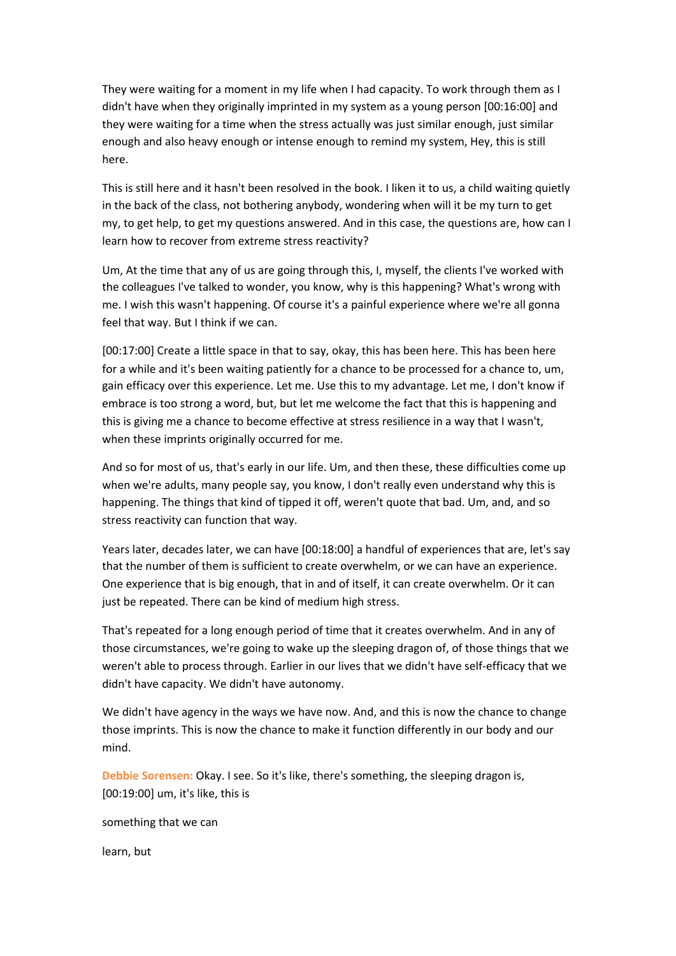They were waiting for a moment in my life when I had capacity. To work through them as I didn't have when they originally imprinted in my system as a young person [00:16:00] and they were waiting for a time when the stress actually was just similar enough, just similar enough and also heavy enough or intense enough to remind my system, Hey, this is still here.

This is still here and it hasn't been resolved in the book. I liken it to us, a child waiting quietly in the back of the class, not bothering anybody, wondering when will it be my turn to get my, to get help, to get my questions answered. And in this case, the questions are, how can I learn how to recover from extreme stress reactivity?

Um, At the time that any of us are going through this, I, myself, the clients I've worked with the colleagues I've talked to wonder, you know, why is this happening? What's wrong with me. I wish this wasn't happening. Of course it's a painful experience where we're all gonna feel that way. But I think if we can.

[00:17:00] Create a little space in that to say, okay, this has been here. This has been here for a while and it's been waiting patiently for a chance to be processed for a chance to, um, gain efficacy over this experience. Let me. Use this to my advantage. Let me, I don't know if embrace is too strong a word, but, but let me welcome the fact that this is happening and this is giving me a chance to become effective at stress resilience in a way that I wasn't, when these imprints originally occurred for me.

And so for most of us, that's early in our life. Um, and then these, these difficulties come up when we're adults, many people say, you know, I don't really even understand why this is happening. The things that kind of tipped it off, weren't quote that bad. Um, and, and so stress reactivity can function that way.

Years later, decades later, we can have [00:18:00] a handful of experiences that are, let's say that the number of them is sufficient to create overwhelm, or we can have an experience. One experience that is big enough, that in and of itself, it can create overwhelm. Or it can just be repeated. There can be kind of medium high stress.

That's repeated for a long enough period of time that it creates overwhelm. And in any of those circumstances, we're going to wake up the sleeping dragon of, of those things that we weren't able to process through. Earlier in our lives that we didn't have self-efficacy that we didn't have capacity. We didn't have autonomy.

We didn't have agency in the ways we have now. And, and this is now the chance to change those imprints. This is now the chance to make it function differently in our body and our mind.

**Debbie Sorensen:** Okay. I see. So it's like, there's something, the sleeping dragon is, [00:19:00] um, it's like, this is

something that we can

learn, but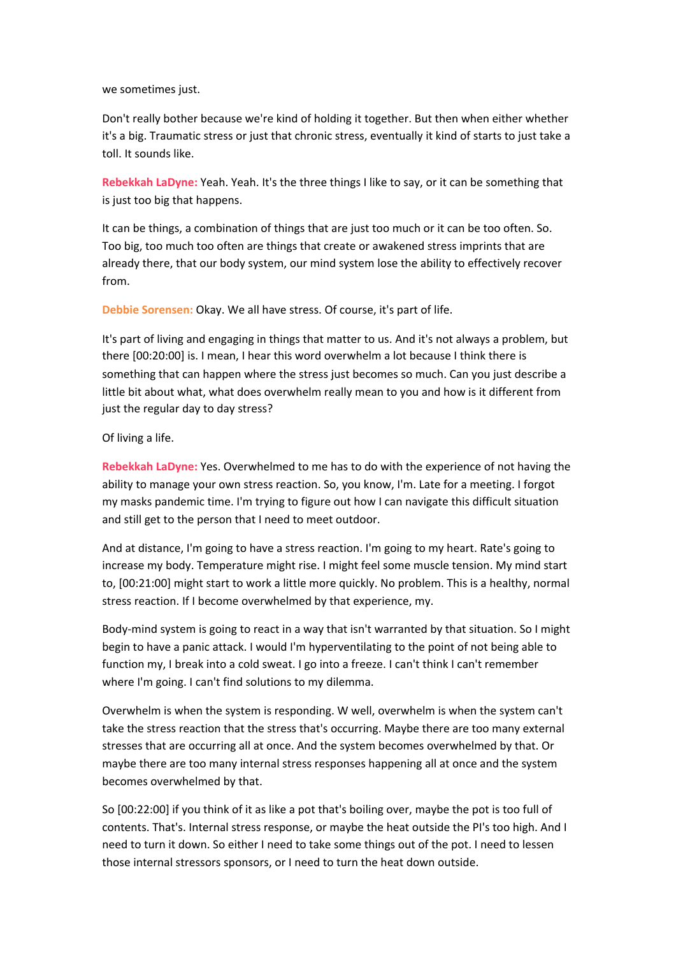we sometimes just.

Don't really bother because we're kind of holding it together. But then when either whether it's a big. Traumatic stress or just that chronic stress, eventually it kind of starts to just take a toll. It sounds like.

**Rebekkah LaDyne:** Yeah. Yeah. It's the three things I like to say, or it can be something that is just too big that happens.

It can be things, a combination of things that are just too much or it can be too often. So. Too big, too much too often are things that create or awakened stress imprints that are already there, that our body system, our mind system lose the ability to effectively recover from.

**Debbie Sorensen:** Okay. We all have stress. Of course, it's part of life.

It's part of living and engaging in things that matter to us. And it's not always a problem, but there [00:20:00] is. I mean, I hear this word overwhelm a lot because I think there is something that can happen where the stress just becomes so much. Can you just describe a little bit about what, what does overwhelm really mean to you and how is it different from just the regular day to day stress?

## Of living a life.

**Rebekkah LaDyne:** Yes. Overwhelmed to me has to do with the experience of not having the ability to manage your own stress reaction. So, you know, I'm. Late for a meeting. I forgot my masks pandemic time. I'm trying to figure out how I can navigate this difficult situation and still get to the person that I need to meet outdoor.

And at distance, I'm going to have a stress reaction. I'm going to my heart. Rate's going to increase my body. Temperature might rise. I might feel some muscle tension. My mind start to, [00:21:00] might start to work a little more quickly. No problem. This is a healthy, normal stress reaction. If I become overwhelmed by that experience, my.

Body-mind system is going to react in a way that isn't warranted by that situation. So I might begin to have a panic attack. I would I'm hyperventilating to the point of not being able to function my, I break into a cold sweat. I go into a freeze. I can't think I can't remember where I'm going. I can't find solutions to my dilemma.

Overwhelm is when the system is responding. W well, overwhelm is when the system can't take the stress reaction that the stress that's occurring. Maybe there are too many external stresses that are occurring all at once. And the system becomes overwhelmed by that. Or maybe there are too many internal stress responses happening all at once and the system becomes overwhelmed by that.

So [00:22:00] if you think of it as like a pot that's boiling over, maybe the pot is too full of contents. That's. Internal stress response, or maybe the heat outside the PI's too high. And I need to turn it down. So either I need to take some things out of the pot. I need to lessen those internal stressors sponsors, or I need to turn the heat down outside.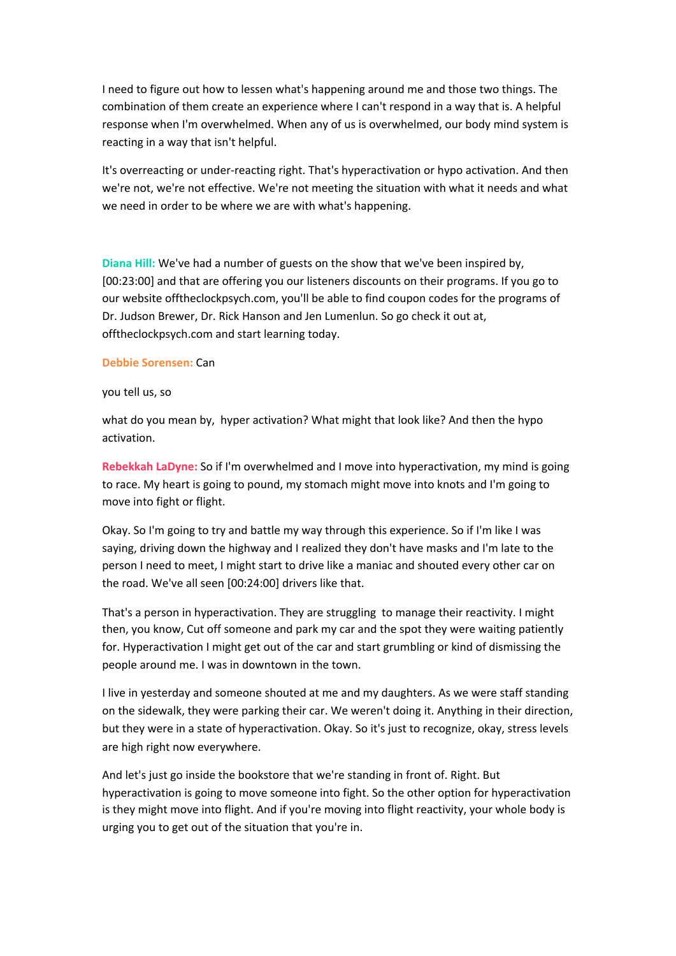I need to figure out how to lessen what's happening around me and those two things. The combination of them create an experience where I can't respond in a way that is. A helpful response when I'm overwhelmed. When any of us is overwhelmed, our body mind system is reacting in a way that isn't helpful.

It's overreacting or under-reacting right. That's hyperactivation or hypo activation. And then we're not, we're not effective. We're not meeting the situation with what it needs and what we need in order to be where we are with what's happening.

**Diana Hill:** We've had a number of guests on the show that we've been inspired by, [00:23:00] and that are offering you our listeners discounts on their programs. If you go to our website offtheclockpsych.com, you'll be able to find coupon codes for the programs of Dr. Judson Brewer, Dr. Rick Hanson and Jen Lumenlun. So go check it out at, offtheclockpsych.com and start learning today.

#### **Debbie Sorensen:** Can

#### you tell us, so

what do you mean by, hyper activation? What might that look like? And then the hypo activation.

**Rebekkah LaDyne:** So if I'm overwhelmed and I move into hyperactivation, my mind is going to race. My heart is going to pound, my stomach might move into knots and I'm going to move into fight or flight.

Okay. So I'm going to try and battle my way through this experience. So if I'm like I was saying, driving down the highway and I realized they don't have masks and I'm late to the person I need to meet, I might start to drive like a maniac and shouted every other car on the road. We've all seen [00:24:00] drivers like that.

That's a person in hyperactivation. They are struggling to manage their reactivity. I might then, you know, Cut off someone and park my car and the spot they were waiting patiently for. Hyperactivation I might get out of the car and start grumbling or kind of dismissing the people around me. I was in downtown in the town.

I live in yesterday and someone shouted at me and my daughters. As we were staff standing on the sidewalk, they were parking their car. We weren't doing it. Anything in their direction, but they were in a state of hyperactivation. Okay. So it's just to recognize, okay, stress levels are high right now everywhere.

And let's just go inside the bookstore that we're standing in front of. Right. But hyperactivation is going to move someone into fight. So the other option for hyperactivation is they might move into flight. And if you're moving into flight reactivity, your whole body is urging you to get out of the situation that you're in.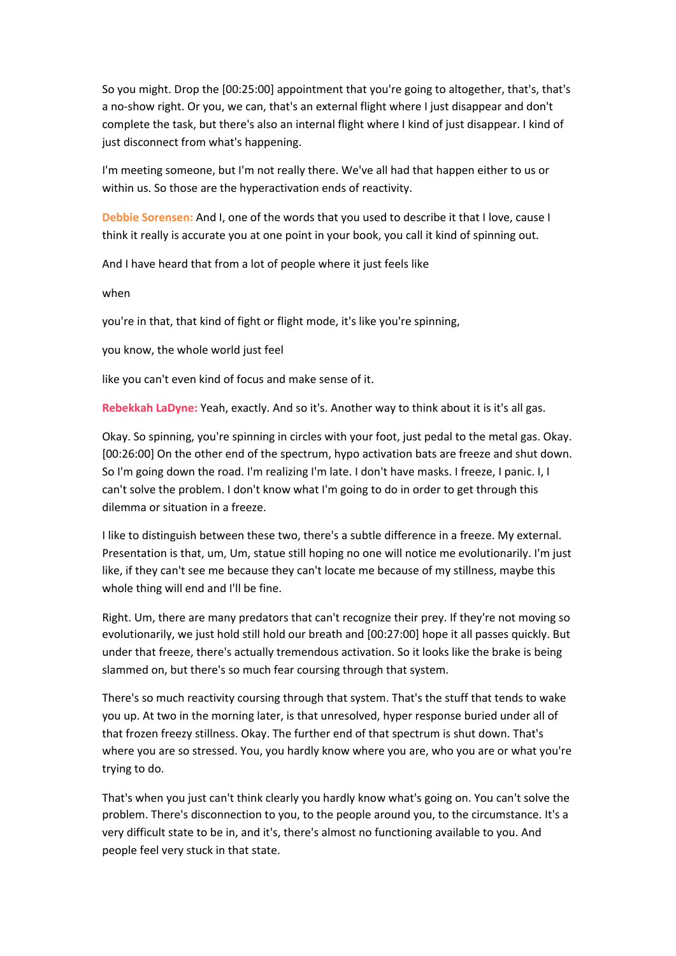So you might. Drop the [00:25:00] appointment that you're going to altogether, that's, that's a no-show right. Or you, we can, that's an external flight where I just disappear and don't complete the task, but there's also an internal flight where I kind of just disappear. I kind of just disconnect from what's happening.

I'm meeting someone, but I'm not really there. We've all had that happen either to us or within us. So those are the hyperactivation ends of reactivity.

**Debbie Sorensen:** And I, one of the words that you used to describe it that I love, cause I think it really is accurate you at one point in your book, you call it kind of spinning out.

And I have heard that from a lot of people where it just feels like

when

you're in that, that kind of fight or flight mode, it's like you're spinning,

you know, the whole world just feel

like you can't even kind of focus and make sense of it.

**Rebekkah LaDyne:** Yeah, exactly. And so it's. Another way to think about it is it's all gas.

Okay. So spinning, you're spinning in circles with your foot, just pedal to the metal gas. Okay. [00:26:00] On the other end of the spectrum, hypo activation bats are freeze and shut down. So I'm going down the road. I'm realizing I'm late. I don't have masks. I freeze, I panic. I, I can't solve the problem. I don't know what I'm going to do in order to get through this dilemma or situation in a freeze.

I like to distinguish between these two, there's a subtle difference in a freeze. My external. Presentation is that, um, Um, statue still hoping no one will notice me evolutionarily. I'm just like, if they can't see me because they can't locate me because of my stillness, maybe this whole thing will end and I'll be fine.

Right. Um, there are many predators that can't recognize their prey. If they're not moving so evolutionarily, we just hold still hold our breath and [00:27:00] hope it all passes quickly. But under that freeze, there's actually tremendous activation. So it looks like the brake is being slammed on, but there's so much fear coursing through that system.

There's so much reactivity coursing through that system. That's the stuff that tends to wake you up. At two in the morning later, is that unresolved, hyper response buried under all of that frozen freezy stillness. Okay. The further end of that spectrum is shut down. That's where you are so stressed. You, you hardly know where you are, who you are or what you're trying to do.

That's when you just can't think clearly you hardly know what's going on. You can't solve the problem. There's disconnection to you, to the people around you, to the circumstance. It's a very difficult state to be in, and it's, there's almost no functioning available to you. And people feel very stuck in that state.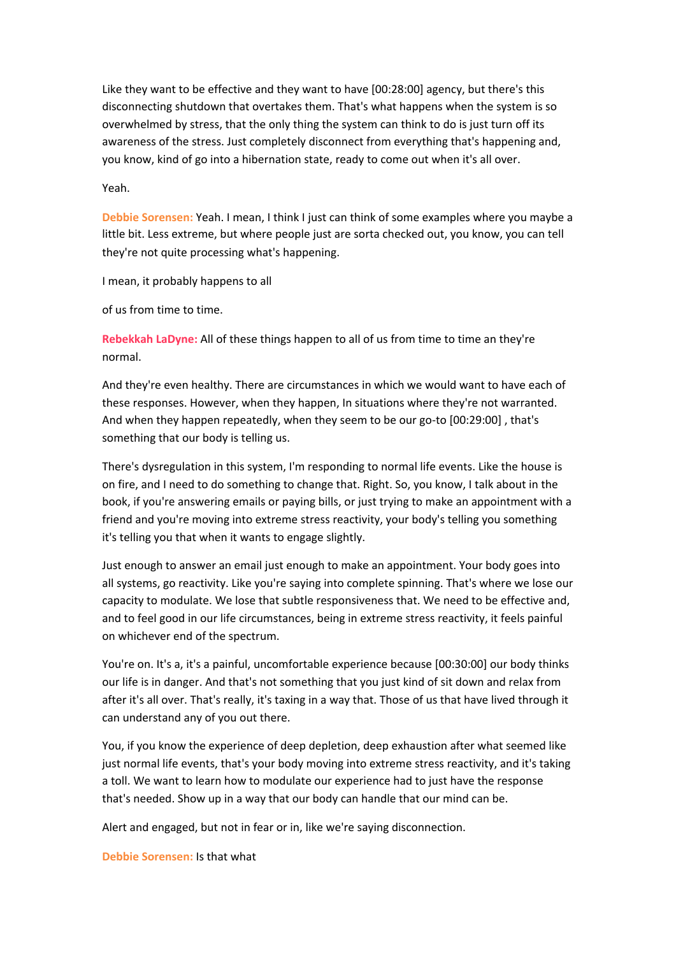Like they want to be effective and they want to have [00:28:00] agency, but there's this disconnecting shutdown that overtakes them. That's what happens when the system is so overwhelmed by stress, that the only thing the system can think to do is just turn off its awareness of the stress. Just completely disconnect from everything that's happening and, you know, kind of go into a hibernation state, ready to come out when it's all over.

Yeah.

**Debbie Sorensen:** Yeah. I mean, I think I just can think of some examples where you maybe a little bit. Less extreme, but where people just are sorta checked out, you know, you can tell they're not quite processing what's happening.

I mean, it probably happens to all

of us from time to time.

**Rebekkah LaDyne:** All of these things happen to all of us from time to time an they're normal.

And they're even healthy. There are circumstances in which we would want to have each of these responses. However, when they happen, In situations where they're not warranted. And when they happen repeatedly, when they seem to be our go-to [00:29:00] , that's something that our body is telling us.

There's dysregulation in this system, I'm responding to normal life events. Like the house is on fire, and I need to do something to change that. Right. So, you know, I talk about in the book, if you're answering emails or paying bills, or just trying to make an appointment with a friend and you're moving into extreme stress reactivity, your body's telling you something it's telling you that when it wants to engage slightly.

Just enough to answer an email just enough to make an appointment. Your body goes into all systems, go reactivity. Like you're saying into complete spinning. That's where we lose our capacity to modulate. We lose that subtle responsiveness that. We need to be effective and, and to feel good in our life circumstances, being in extreme stress reactivity, it feels painful on whichever end of the spectrum.

You're on. It's a, it's a painful, uncomfortable experience because [00:30:00] our body thinks our life is in danger. And that's not something that you just kind of sit down and relax from after it's all over. That's really, it's taxing in a way that. Those of us that have lived through it can understand any of you out there.

You, if you know the experience of deep depletion, deep exhaustion after what seemed like just normal life events, that's your body moving into extreme stress reactivity, and it's taking a toll. We want to learn how to modulate our experience had to just have the response that's needed. Show up in a way that our body can handle that our mind can be.

Alert and engaged, but not in fear or in, like we're saying disconnection.

**Debbie Sorensen:** Is that what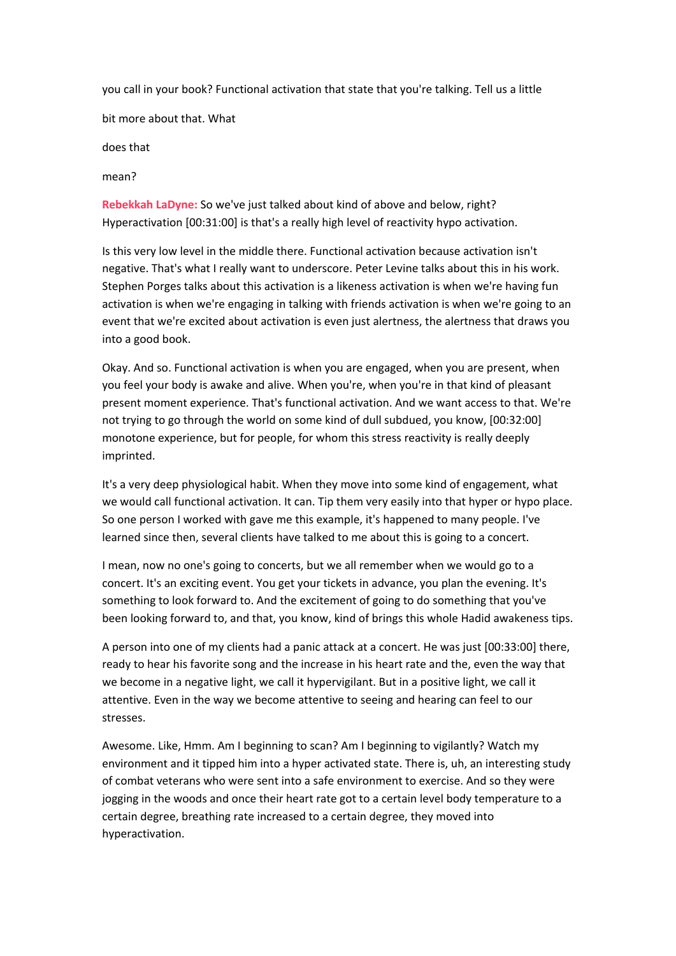you call in your book? Functional activation that state that you're talking. Tell us a little

bit more about that. What

does that

mean?

**Rebekkah LaDyne:** So we've just talked about kind of above and below, right? Hyperactivation [00:31:00] is that's a really high level of reactivity hypo activation.

Is this very low level in the middle there. Functional activation because activation isn't negative. That's what I really want to underscore. Peter Levine talks about this in his work. Stephen Porges talks about this activation is a likeness activation is when we're having fun activation is when we're engaging in talking with friends activation is when we're going to an event that we're excited about activation is even just alertness, the alertness that draws you into a good book.

Okay. And so. Functional activation is when you are engaged, when you are present, when you feel your body is awake and alive. When you're, when you're in that kind of pleasant present moment experience. That's functional activation. And we want access to that. We're not trying to go through the world on some kind of dull subdued, you know, [00:32:00] monotone experience, but for people, for whom this stress reactivity is really deeply imprinted.

It's a very deep physiological habit. When they move into some kind of engagement, what we would call functional activation. It can. Tip them very easily into that hyper or hypo place. So one person I worked with gave me this example, it's happened to many people. I've learned since then, several clients have talked to me about this is going to a concert.

I mean, now no one's going to concerts, but we all remember when we would go to a concert. It's an exciting event. You get your tickets in advance, you plan the evening. It's something to look forward to. And the excitement of going to do something that you've been looking forward to, and that, you know, kind of brings this whole Hadid awakeness tips.

A person into one of my clients had a panic attack at a concert. He was just [00:33:00] there, ready to hear his favorite song and the increase in his heart rate and the, even the way that we become in a negative light, we call it hypervigilant. But in a positive light, we call it attentive. Even in the way we become attentive to seeing and hearing can feel to our stresses.

Awesome. Like, Hmm. Am I beginning to scan? Am I beginning to vigilantly? Watch my environment and it tipped him into a hyper activated state. There is, uh, an interesting study of combat veterans who were sent into a safe environment to exercise. And so they were jogging in the woods and once their heart rate got to a certain level body temperature to a certain degree, breathing rate increased to a certain degree, they moved into hyperactivation.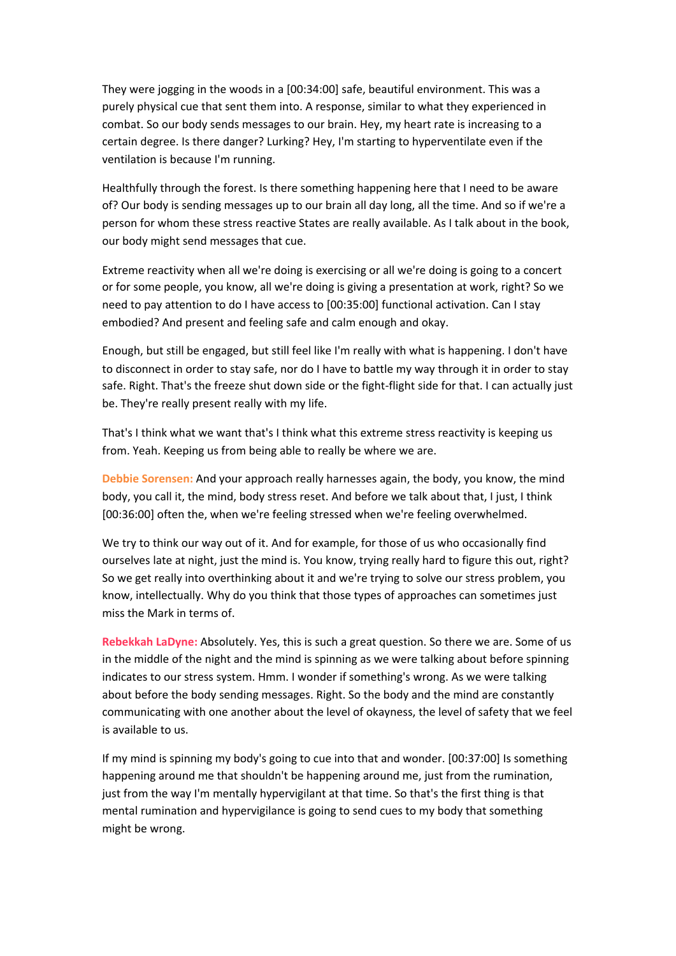They were jogging in the woods in a [00:34:00] safe, beautiful environment. This was a purely physical cue that sent them into. A response, similar to what they experienced in combat. So our body sends messages to our brain. Hey, my heart rate is increasing to a certain degree. Is there danger? Lurking? Hey, I'm starting to hyperventilate even if the ventilation is because I'm running.

Healthfully through the forest. Is there something happening here that I need to be aware of? Our body is sending messages up to our brain all day long, all the time. And so if we're a person for whom these stress reactive States are really available. As I talk about in the book, our body might send messages that cue.

Extreme reactivity when all we're doing is exercising or all we're doing is going to a concert or for some people, you know, all we're doing is giving a presentation at work, right? So we need to pay attention to do I have access to [00:35:00] functional activation. Can I stay embodied? And present and feeling safe and calm enough and okay.

Enough, but still be engaged, but still feel like I'm really with what is happening. I don't have to disconnect in order to stay safe, nor do I have to battle my way through it in order to stay safe. Right. That's the freeze shut down side or the fight-flight side for that. I can actually just be. They're really present really with my life.

That's I think what we want that's I think what this extreme stress reactivity is keeping us from. Yeah. Keeping us from being able to really be where we are.

**Debbie Sorensen:** And your approach really harnesses again, the body, you know, the mind body, you call it, the mind, body stress reset. And before we talk about that, I just, I think [00:36:00] often the, when we're feeling stressed when we're feeling overwhelmed.

We try to think our way out of it. And for example, for those of us who occasionally find ourselves late at night, just the mind is. You know, trying really hard to figure this out, right? So we get really into overthinking about it and we're trying to solve our stress problem, you know, intellectually. Why do you think that those types of approaches can sometimes just miss the Mark in terms of.

**Rebekkah LaDyne:** Absolutely. Yes, this is such a great question. So there we are. Some of us in the middle of the night and the mind is spinning as we were talking about before spinning indicates to our stress system. Hmm. I wonder if something's wrong. As we were talking about before the body sending messages. Right. So the body and the mind are constantly communicating with one another about the level of okayness, the level of safety that we feel is available to us.

If my mind is spinning my body's going to cue into that and wonder. [00:37:00] Is something happening around me that shouldn't be happening around me, just from the rumination, just from the way I'm mentally hypervigilant at that time. So that's the first thing is that mental rumination and hypervigilance is going to send cues to my body that something might be wrong.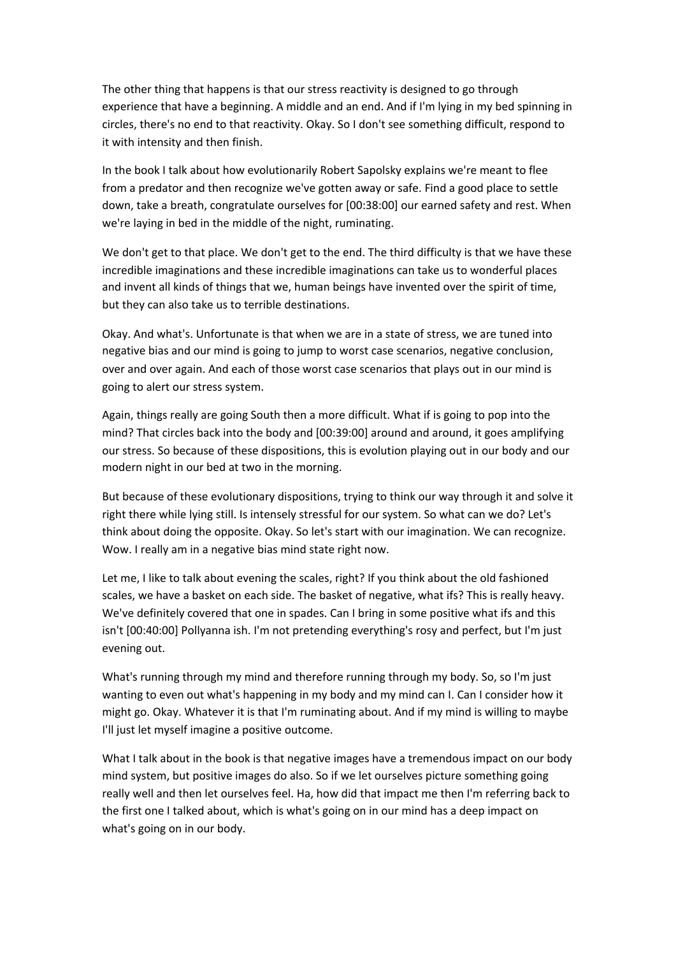The other thing that happens is that our stress reactivity is designed to go through experience that have a beginning. A middle and an end. And if I'm lying in my bed spinning in circles, there's no end to that reactivity. Okay. So I don't see something difficult, respond to it with intensity and then finish.

In the book I talk about how evolutionarily Robert Sapolsky explains we're meant to flee from a predator and then recognize we've gotten away or safe. Find a good place to settle down, take a breath, congratulate ourselves for [00:38:00] our earned safety and rest. When we're laying in bed in the middle of the night, ruminating.

We don't get to that place. We don't get to the end. The third difficulty is that we have these incredible imaginations and these incredible imaginations can take us to wonderful places and invent all kinds of things that we, human beings have invented over the spirit of time, but they can also take us to terrible destinations.

Okay. And what's. Unfortunate is that when we are in a state of stress, we are tuned into negative bias and our mind is going to jump to worst case scenarios, negative conclusion, over and over again. And each of those worst case scenarios that plays out in our mind is going to alert our stress system.

Again, things really are going South then a more difficult. What if is going to pop into the mind? That circles back into the body and [00:39:00] around and around, it goes amplifying our stress. So because of these dispositions, this is evolution playing out in our body and our modern night in our bed at two in the morning.

But because of these evolutionary dispositions, trying to think our way through it and solve it right there while lying still. Is intensely stressful for our system. So what can we do? Let's think about doing the opposite. Okay. So let's start with our imagination. We can recognize. Wow. I really am in a negative bias mind state right now.

Let me, I like to talk about evening the scales, right? If you think about the old fashioned scales, we have a basket on each side. The basket of negative, what ifs? This is really heavy. We've definitely covered that one in spades. Can I bring in some positive what ifs and this isn't [00:40:00] Pollyanna ish. I'm not pretending everything's rosy and perfect, but I'm just evening out.

What's running through my mind and therefore running through my body. So, so I'm just wanting to even out what's happening in my body and my mind can I. Can I consider how it might go. Okay. Whatever it is that I'm ruminating about. And if my mind is willing to maybe I'll just let myself imagine a positive outcome.

What I talk about in the book is that negative images have a tremendous impact on our body mind system, but positive images do also. So if we let ourselves picture something going really well and then let ourselves feel. Ha, how did that impact me then I'm referring back to the first one I talked about, which is what's going on in our mind has a deep impact on what's going on in our body.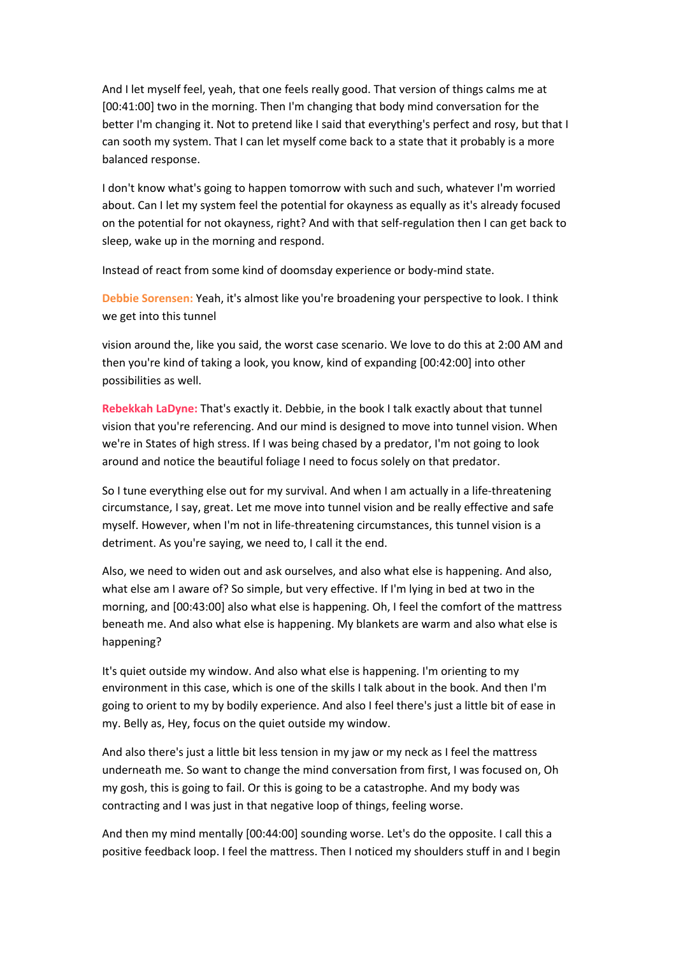And I let myself feel, yeah, that one feels really good. That version of things calms me at [00:41:00] two in the morning. Then I'm changing that body mind conversation for the better I'm changing it. Not to pretend like I said that everything's perfect and rosy, but that I can sooth my system. That I can let myself come back to a state that it probably is a more balanced response.

I don't know what's going to happen tomorrow with such and such, whatever I'm worried about. Can I let my system feel the potential for okayness as equally as it's already focused on the potential for not okayness, right? And with that self-regulation then I can get back to sleep, wake up in the morning and respond.

Instead of react from some kind of doomsday experience or body-mind state.

**Debbie Sorensen:** Yeah, it's almost like you're broadening your perspective to look. I think we get into this tunnel

vision around the, like you said, the worst case scenario. We love to do this at 2:00 AM and then you're kind of taking a look, you know, kind of expanding [00:42:00] into other possibilities as well.

**Rebekkah LaDyne:** That's exactly it. Debbie, in the book I talk exactly about that tunnel vision that you're referencing. And our mind is designed to move into tunnel vision. When we're in States of high stress. If I was being chased by a predator, I'm not going to look around and notice the beautiful foliage I need to focus solely on that predator.

So I tune everything else out for my survival. And when I am actually in a life-threatening circumstance, I say, great. Let me move into tunnel vision and be really effective and safe myself. However, when I'm not in life-threatening circumstances, this tunnel vision is a detriment. As you're saying, we need to, I call it the end.

Also, we need to widen out and ask ourselves, and also what else is happening. And also, what else am I aware of? So simple, but very effective. If I'm lying in bed at two in the morning, and [00:43:00] also what else is happening. Oh, I feel the comfort of the mattress beneath me. And also what else is happening. My blankets are warm and also what else is happening?

It's quiet outside my window. And also what else is happening. I'm orienting to my environment in this case, which is one of the skills I talk about in the book. And then I'm going to orient to my by bodily experience. And also I feel there's just a little bit of ease in my. Belly as, Hey, focus on the quiet outside my window.

And also there's just a little bit less tension in my jaw or my neck as I feel the mattress underneath me. So want to change the mind conversation from first, I was focused on, Oh my gosh, this is going to fail. Or this is going to be a catastrophe. And my body was contracting and I was just in that negative loop of things, feeling worse.

And then my mind mentally [00:44:00] sounding worse. Let's do the opposite. I call this a positive feedback loop. I feel the mattress. Then I noticed my shoulders stuff in and I begin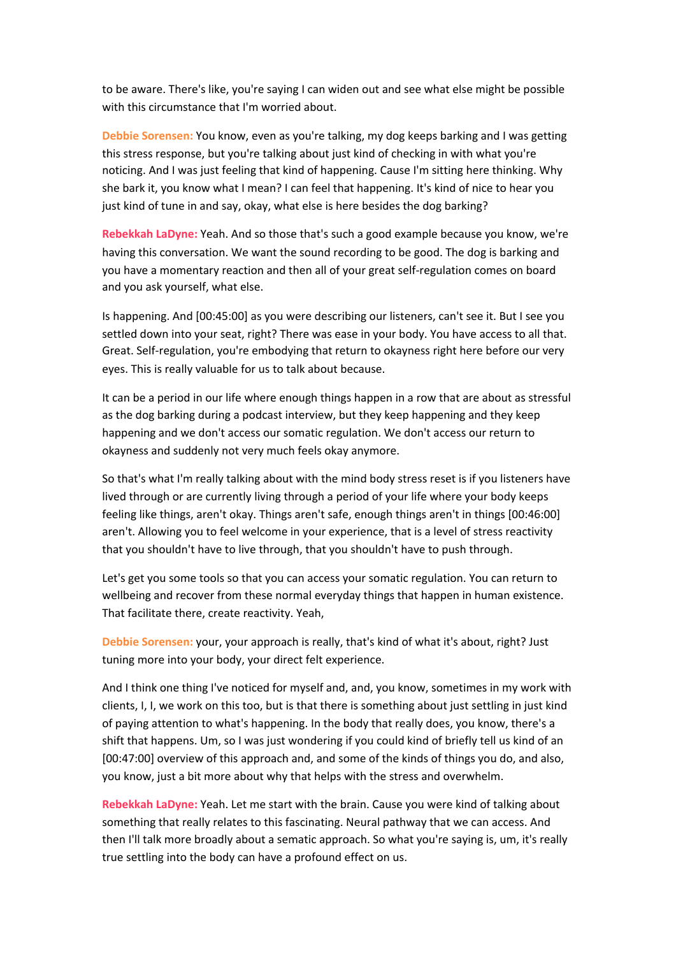to be aware. There's like, you're saying I can widen out and see what else might be possible with this circumstance that I'm worried about.

**Debbie Sorensen:** You know, even as you're talking, my dog keeps barking and I was getting this stress response, but you're talking about just kind of checking in with what you're noticing. And I was just feeling that kind of happening. Cause I'm sitting here thinking. Why she bark it, you know what I mean? I can feel that happening. It's kind of nice to hear you just kind of tune in and say, okay, what else is here besides the dog barking?

**Rebekkah LaDyne:** Yeah. And so those that's such a good example because you know, we're having this conversation. We want the sound recording to be good. The dog is barking and you have a momentary reaction and then all of your great self-regulation comes on board and you ask yourself, what else.

Is happening. And [00:45:00] as you were describing our listeners, can't see it. But I see you settled down into your seat, right? There was ease in your body. You have access to all that. Great. Self-regulation, you're embodying that return to okayness right here before our very eyes. This is really valuable for us to talk about because.

It can be a period in our life where enough things happen in a row that are about as stressful as the dog barking during a podcast interview, but they keep happening and they keep happening and we don't access our somatic regulation. We don't access our return to okayness and suddenly not very much feels okay anymore.

So that's what I'm really talking about with the mind body stress reset is if you listeners have lived through or are currently living through a period of your life where your body keeps feeling like things, aren't okay. Things aren't safe, enough things aren't in things [00:46:00] aren't. Allowing you to feel welcome in your experience, that is a level of stress reactivity that you shouldn't have to live through, that you shouldn't have to push through.

Let's get you some tools so that you can access your somatic regulation. You can return to wellbeing and recover from these normal everyday things that happen in human existence. That facilitate there, create reactivity. Yeah,

**Debbie Sorensen:** your, your approach is really, that's kind of what it's about, right? Just tuning more into your body, your direct felt experience.

And I think one thing I've noticed for myself and, and, you know, sometimes in my work with clients, I, I, we work on this too, but is that there is something about just settling in just kind of paying attention to what's happening. In the body that really does, you know, there's a shift that happens. Um, so I was just wondering if you could kind of briefly tell us kind of an [00:47:00] overview of this approach and, and some of the kinds of things you do, and also, you know, just a bit more about why that helps with the stress and overwhelm.

**Rebekkah LaDyne:** Yeah. Let me start with the brain. Cause you were kind of talking about something that really relates to this fascinating. Neural pathway that we can access. And then I'll talk more broadly about a sematic approach. So what you're saying is, um, it's really true settling into the body can have a profound effect on us.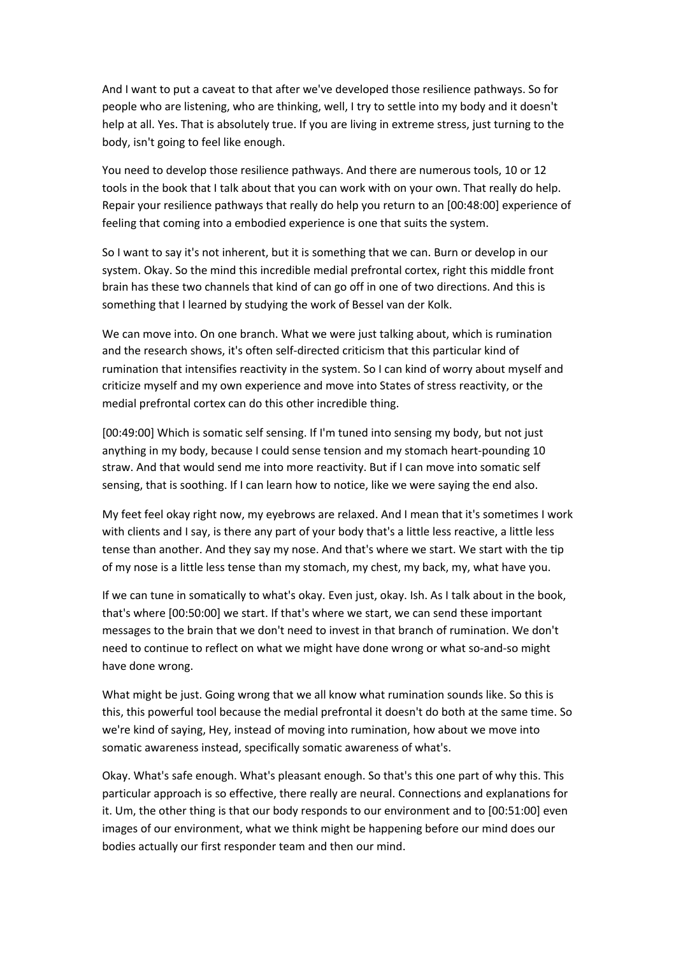And I want to put a caveat to that after we've developed those resilience pathways. So for people who are listening, who are thinking, well, I try to settle into my body and it doesn't help at all. Yes. That is absolutely true. If you are living in extreme stress, just turning to the body, isn't going to feel like enough.

You need to develop those resilience pathways. And there are numerous tools, 10 or 12 tools in the book that I talk about that you can work with on your own. That really do help. Repair your resilience pathways that really do help you return to an [00:48:00] experience of feeling that coming into a embodied experience is one that suits the system.

So I want to say it's not inherent, but it is something that we can. Burn or develop in our system. Okay. So the mind this incredible medial prefrontal cortex, right this middle front brain has these two channels that kind of can go off in one of two directions. And this is something that I learned by studying the work of Bessel van der Kolk.

We can move into. On one branch. What we were just talking about, which is rumination and the research shows, it's often self-directed criticism that this particular kind of rumination that intensifies reactivity in the system. So I can kind of worry about myself and criticize myself and my own experience and move into States of stress reactivity, or the medial prefrontal cortex can do this other incredible thing.

[00:49:00] Which is somatic self sensing. If I'm tuned into sensing my body, but not just anything in my body, because I could sense tension and my stomach heart-pounding 10 straw. And that would send me into more reactivity. But if I can move into somatic self sensing, that is soothing. If I can learn how to notice, like we were saying the end also.

My feet feel okay right now, my eyebrows are relaxed. And I mean that it's sometimes I work with clients and I say, is there any part of your body that's a little less reactive, a little less tense than another. And they say my nose. And that's where we start. We start with the tip of my nose is a little less tense than my stomach, my chest, my back, my, what have you.

If we can tune in somatically to what's okay. Even just, okay. Ish. As I talk about in the book, that's where [00:50:00] we start. If that's where we start, we can send these important messages to the brain that we don't need to invest in that branch of rumination. We don't need to continue to reflect on what we might have done wrong or what so-and-so might have done wrong.

What might be just. Going wrong that we all know what rumination sounds like. So this is this, this powerful tool because the medial prefrontal it doesn't do both at the same time. So we're kind of saying, Hey, instead of moving into rumination, how about we move into somatic awareness instead, specifically somatic awareness of what's.

Okay. What's safe enough. What's pleasant enough. So that's this one part of why this. This particular approach is so effective, there really are neural. Connections and explanations for it. Um, the other thing is that our body responds to our environment and to [00:51:00] even images of our environment, what we think might be happening before our mind does our bodies actually our first responder team and then our mind.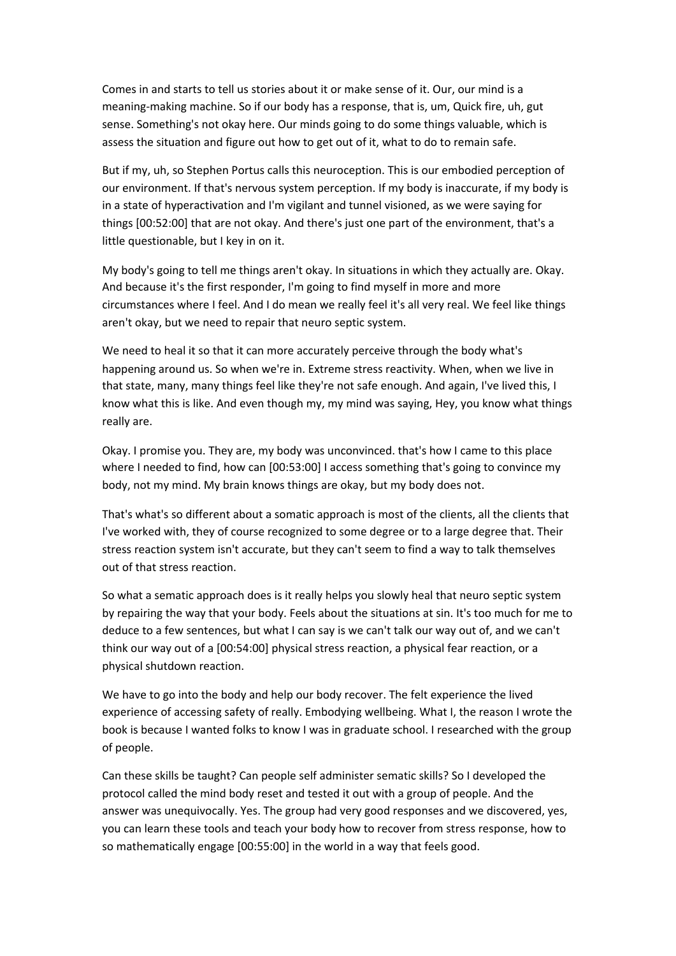Comes in and starts to tell us stories about it or make sense of it. Our, our mind is a meaning-making machine. So if our body has a response, that is, um, Quick fire, uh, gut sense. Something's not okay here. Our minds going to do some things valuable, which is assess the situation and figure out how to get out of it, what to do to remain safe.

But if my, uh, so Stephen Portus calls this neuroception. This is our embodied perception of our environment. If that's nervous system perception. If my body is inaccurate, if my body is in a state of hyperactivation and I'm vigilant and tunnel visioned, as we were saying for things [00:52:00] that are not okay. And there's just one part of the environment, that's a little questionable, but I key in on it.

My body's going to tell me things aren't okay. In situations in which they actually are. Okay. And because it's the first responder, I'm going to find myself in more and more circumstances where I feel. And I do mean we really feel it's all very real. We feel like things aren't okay, but we need to repair that neuro septic system.

We need to heal it so that it can more accurately perceive through the body what's happening around us. So when we're in. Extreme stress reactivity. When, when we live in that state, many, many things feel like they're not safe enough. And again, I've lived this, I know what this is like. And even though my, my mind was saying, Hey, you know what things really are.

Okay. I promise you. They are, my body was unconvinced. that's how I came to this place where I needed to find, how can [00:53:00] I access something that's going to convince my body, not my mind. My brain knows things are okay, but my body does not.

That's what's so different about a somatic approach is most of the clients, all the clients that I've worked with, they of course recognized to some degree or to a large degree that. Their stress reaction system isn't accurate, but they can't seem to find a way to talk themselves out of that stress reaction.

So what a sematic approach does is it really helps you slowly heal that neuro septic system by repairing the way that your body. Feels about the situations at sin. It's too much for me to deduce to a few sentences, but what I can say is we can't talk our way out of, and we can't think our way out of a [00:54:00] physical stress reaction, a physical fear reaction, or a physical shutdown reaction.

We have to go into the body and help our body recover. The felt experience the lived experience of accessing safety of really. Embodying wellbeing. What I, the reason I wrote the book is because I wanted folks to know I was in graduate school. I researched with the group of people.

Can these skills be taught? Can people self administer sematic skills? So I developed the protocol called the mind body reset and tested it out with a group of people. And the answer was unequivocally. Yes. The group had very good responses and we discovered, yes, you can learn these tools and teach your body how to recover from stress response, how to so mathematically engage [00:55:00] in the world in a way that feels good.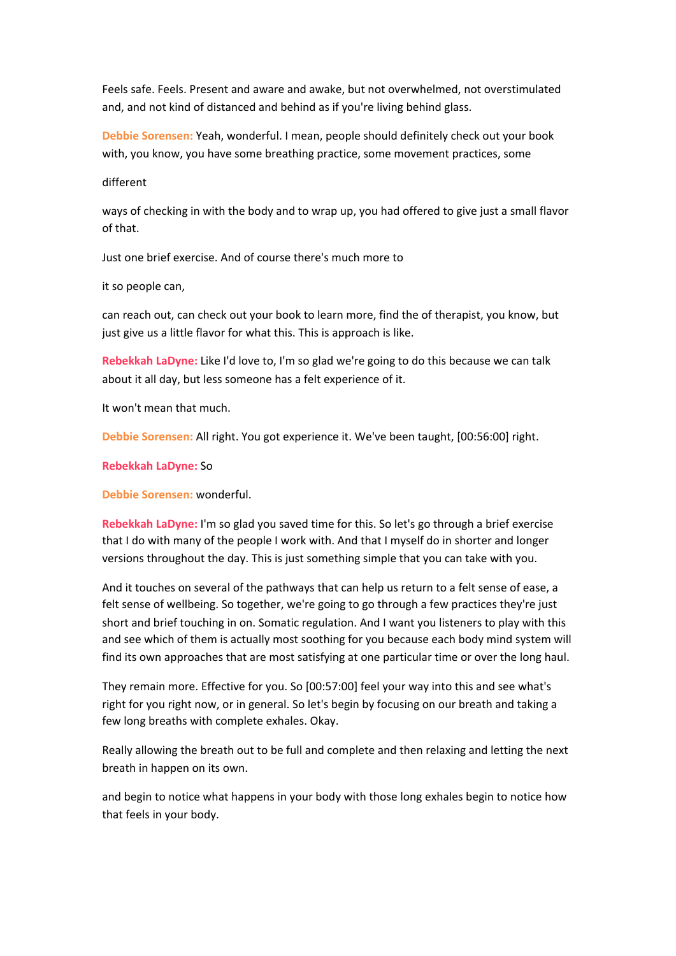Feels safe. Feels. Present and aware and awake, but not overwhelmed, not overstimulated and, and not kind of distanced and behind as if you're living behind glass.

**Debbie Sorensen:** Yeah, wonderful. I mean, people should definitely check out your book with, you know, you have some breathing practice, some movement practices, some

### different

ways of checking in with the body and to wrap up, you had offered to give just a small flavor of that.

Just one brief exercise. And of course there's much more to

it so people can,

can reach out, can check out your book to learn more, find the of therapist, you know, but just give us a little flavor for what this. This is approach is like.

**Rebekkah LaDyne:** Like I'd love to, I'm so glad we're going to do this because we can talk about it all day, but less someone has a felt experience of it.

It won't mean that much.

**Debbie Sorensen:** All right. You got experience it. We've been taught, [00:56:00] right.

**Rebekkah LaDyne:** So

**Debbie Sorensen:** wonderful.

**Rebekkah LaDyne:** I'm so glad you saved time for this. So let's go through a brief exercise that I do with many of the people I work with. And that I myself do in shorter and longer versions throughout the day. This is just something simple that you can take with you.

And it touches on several of the pathways that can help us return to a felt sense of ease, a felt sense of wellbeing. So together, we're going to go through a few practices they're just short and brief touching in on. Somatic regulation. And I want you listeners to play with this and see which of them is actually most soothing for you because each body mind system will find its own approaches that are most satisfying at one particular time or over the long haul.

They remain more. Effective for you. So [00:57:00] feel your way into this and see what's right for you right now, or in general. So let's begin by focusing on our breath and taking a few long breaths with complete exhales. Okay.

Really allowing the breath out to be full and complete and then relaxing and letting the next breath in happen on its own.

and begin to notice what happens in your body with those long exhales begin to notice how that feels in your body.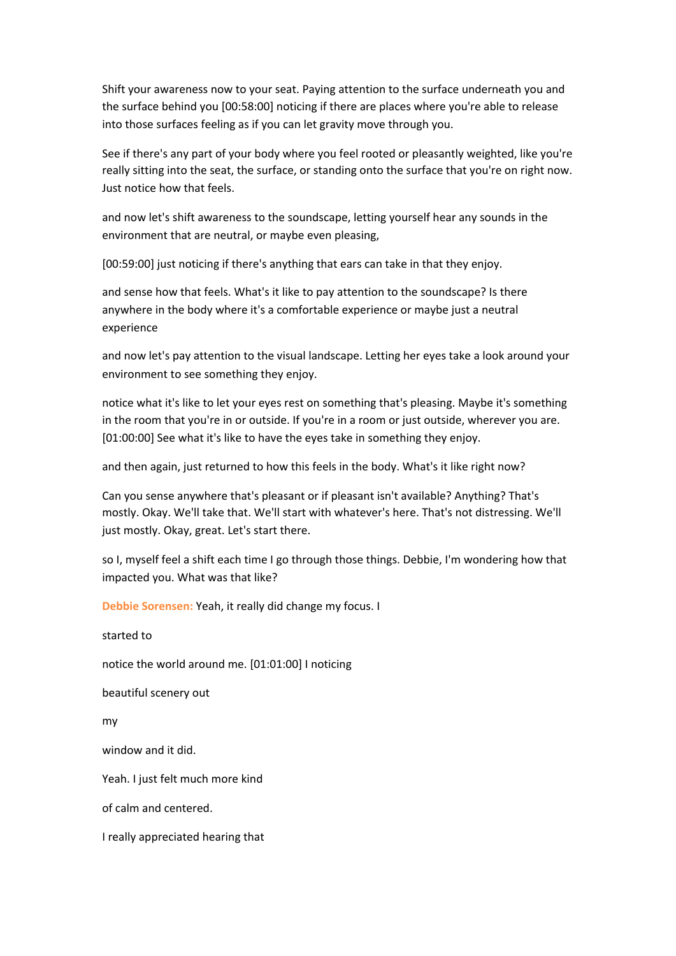Shift your awareness now to your seat. Paying attention to the surface underneath you and the surface behind you [00:58:00] noticing if there are places where you're able to release into those surfaces feeling as if you can let gravity move through you.

See if there's any part of your body where you feel rooted or pleasantly weighted, like you're really sitting into the seat, the surface, or standing onto the surface that you're on right now. Just notice how that feels.

and now let's shift awareness to the soundscape, letting yourself hear any sounds in the environment that are neutral, or maybe even pleasing,

[00:59:00] just noticing if there's anything that ears can take in that they enjoy.

and sense how that feels. What's it like to pay attention to the soundscape? Is there anywhere in the body where it's a comfortable experience or maybe just a neutral experience

and now let's pay attention to the visual landscape. Letting her eyes take a look around your environment to see something they enjoy.

notice what it's like to let your eyes rest on something that's pleasing. Maybe it's something in the room that you're in or outside. If you're in a room or just outside, wherever you are. [01:00:00] See what it's like to have the eyes take in something they enjoy.

and then again, just returned to how this feels in the body. What's it like right now?

Can you sense anywhere that's pleasant or if pleasant isn't available? Anything? That's mostly. Okay. We'll take that. We'll start with whatever's here. That's not distressing. We'll just mostly. Okay, great. Let's start there.

so I, myself feel a shift each time I go through those things. Debbie, I'm wondering how that impacted you. What was that like?

**Debbie Sorensen:** Yeah, it really did change my focus. I

#### started to

notice the world around me. [01:01:00] I noticing

beautiful scenery out

my

window and it did.

Yeah. I just felt much more kind

of calm and centered.

I really appreciated hearing that